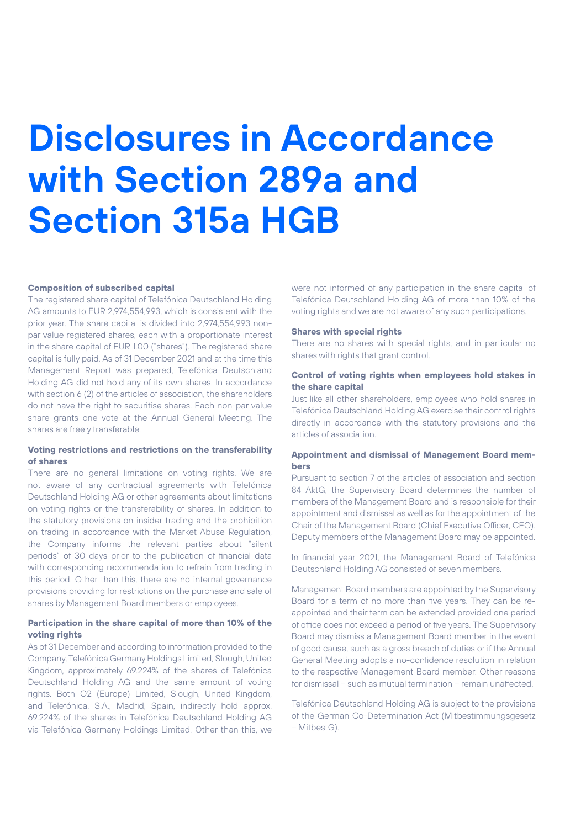# **Disclosures in Accordance with Section 289a and Section 315a HGB**

## **Composition of subscribed capital**

The registered share capital of Telefónica Deutschland Holding AG amounts to EUR 2,974,554,993, which is consistent with the prior year. The share capital is divided into 2,974,554,993 nonpar value registered shares, each with a proportionate interest in the share capital of EUR 1.00 ("shares"). The registered share capital is fully paid. As of 31 December 2021 and at the time this Management Report was prepared, Telefónica Deutschland Holding AG did not hold any of its own shares. In accordance with section 6 (2) of the articles of association, the shareholders do not have the right to securitise shares. Each non-par value share grants one vote at the Annual General Meeting. The shares are freely transferable.

# **Voting restrictions and restrictions on the transferability of shares**

There are no general limitations on voting rights. We are not aware of any contractual agreements with Telefónica Deutschland Holding AG or other agreements about limitations on voting rights or the transferability of shares. In addition to the statutory provisions on insider trading and the prohibition on trading in accordance with the Market Abuse Regulation, the Company informs the relevant parties about "silent periods" of 30 days prior to the publication of financial data with corresponding recommendation to refrain from trading in this period. Other than this, there are no internal governance provisions providing for restrictions on the purchase and sale of shares by Management Board members or employees.

# **Participation in the share capital of more than 10% of the voting rights**

As of 31 December and according to information provided to the Company, Telefónica Germany Holdings Limited, Slough, United Kingdom, approximately 69.224% of the shares of Telefónica Deutschland Holding AG and the same amount of voting rights. Both O2 (Europe) Limited, Slough, United Kingdom, and Telefónica, S.A., Madrid, Spain, indirectly hold approx. 69.224% of the shares in Telefónica Deutschland Holding AG via Telefónica Germany Holdings Limited. Other than this, we

were not informed of any participation in the share capital of Telefónica Deutschland Holding AG of more than 10% of the voting rights and we are not aware of any such participations.

#### **Shares with special rights**

There are no shares with special rights, and in particular no shares with rights that grant control.

## **Control of voting rights when employees hold stakes in the share capital**

Just like all other shareholders, employees who hold shares in Telefónica Deutschland Holding AG exercise their control rights directly in accordance with the statutory provisions and the articles of association.

# **Appointment and dismissal of Management Board members**

Pursuant to section 7 of the articles of association and section 84 AktG, the Supervisory Board determines the number of members of the Management Board and is responsible for their appointment and dismissal as well as for the appointment of the Chair of the Management Board (Chief Executive Officer, CEO). Deputy members of the Management Board may be appointed.

In financial year 2021, the Management Board of Telefónica Deutschland Holding AG consisted of seven members.

Management Board members are appointed by the Supervisory Board for a term of no more than five years. They can be reappointed and their term can be extended provided one period of office does not exceed a period of five years. The Supervisory Board may dismiss a Management Board member in the event of good cause, such as a gross breach of duties or if the Annual General Meeting adopts a no-confidence resolution in relation to the respective Management Board member. Other reasons for dismissal – such as mutual termination – remain unaffected.

Telefónica Deutschland Holding AG is subject to the provisions of the German Co-Determination Act (Mitbestimmungsgesetz – MitbestG).